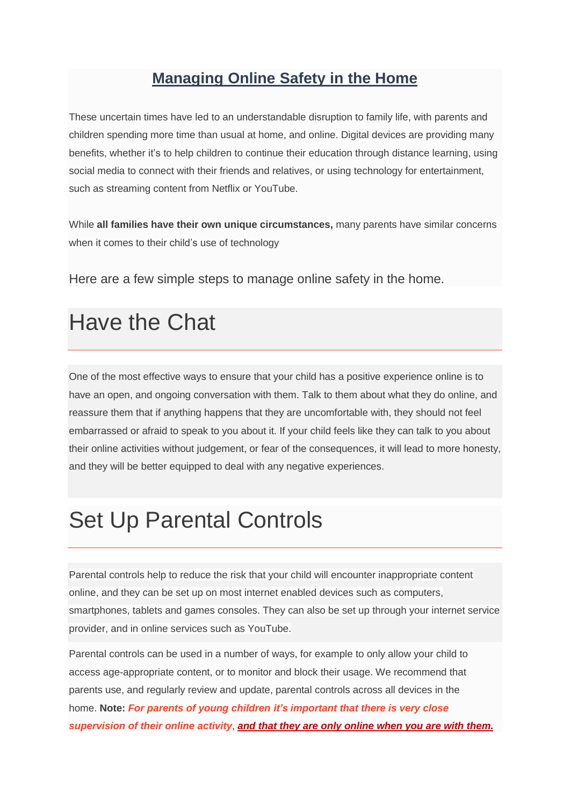# **Managing Online Safety in the Home**

These uncertain times have led to an understandable disruption to family life, with parents and children spending more time than usual at home, and online. Digital devices are providing many benefits, whether it's to help children to continue their education through distance learning, using social media to connect with their friends and relatives, or using technology for entertainment, such as streaming content from Netflix or YouTube.

While **all families have their own unique circumstances,** many parents have similar concerns when it comes to their child's use of technology

Here are a few simple steps to manage online safety in the home.

# Have the Chat

One of the most effective ways to ensure that your child has a positive experience online is to have an open, and ongoing conversation with them. Talk to them about what they do online, and reassure them that if anything happens that they are uncomfortable with, they should not feel embarrassed or afraid to speak to you about it. If your child feels like they can talk to you about their online activities without judgement, or fear of the consequences, it will lead to more honesty, and they will be better equipped to deal with any negative experiences.

# Set Up Parental Controls

Parental controls help to reduce the risk that your child will encounter inappropriate content online, and they can be set up on most internet enabled devices such as computers, smartphones, tablets and games consoles. They can also be set up through your internet service provider, and in online services such as YouTube.

Parental controls can be used in a number of ways, for example to only allow your child to access age-appropriate content, or to monitor and block their usage. We recommend that parents use, and regularly review and update, parental controls across all devices in the home. **Note:** *For parents of young children it's [important](https://www.webwise.ie/parents/advice/internet-safety-advice/) that there is very close [supervision](https://www.webwise.ie/parents/advice/internet-safety-advice/) of their online activity*, *and that they are only online when you are with them.*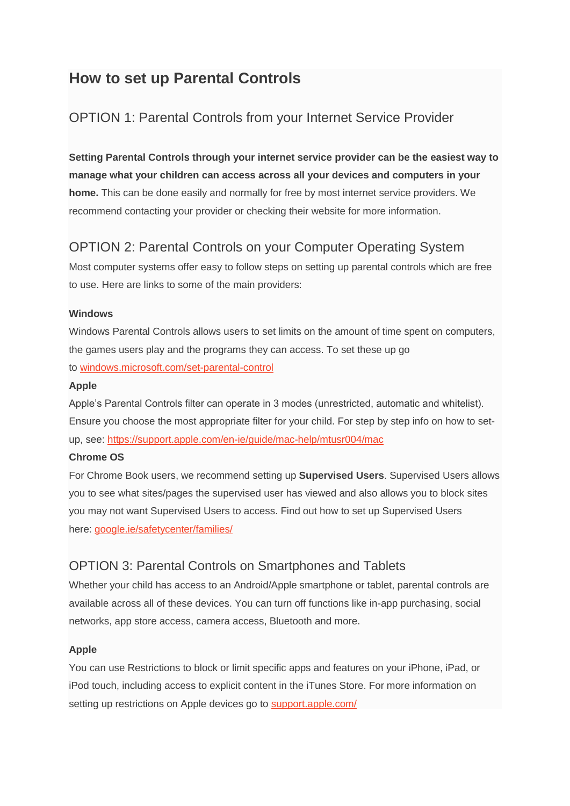# **How to set up Parental Controls**

## OPTION 1: Parental Controls from your Internet Service Provider

**Setting Parental Controls through your internet service provider can be the easiest way to manage what your children can access across all your devices and computers in your home.** This can be done easily and normally for free by most internet service providers. We recommend contacting your provider or checking their website for more information.

# OPTION 2: Parental Controls on your Computer Operating System

Most computer systems offer easy to follow steps on setting up parental controls which are free to use. Here are links to some of the main providers:

#### **Windows**

Windows Parental Controls allows users to set limits on the amount of time spent on computers, the games users play and the programs they can access. To set these up go to [windows.microsoft.com/set-parental-control](http://windows.microsoft.com/en-ie/windows/set-parental-controls#1TC=windows-7)

#### **Apple**

Apple's Parental Controls filter can operate in 3 modes (unrestricted, automatic and whitelist). Ensure you choose the most appropriate filter for your child. For step by step info on how to setup, see: <https://support.apple.com/en-ie/guide/mac-help/mtusr004/mac>

#### **Chrome OS**

For Chrome Book users, we recommend setting up **Supervised Users**. Supervised Users allows you to see what sites/pages the supervised user has viewed and also allows you to block sites you may not want Supervised Users to access. Find out how to set up Supervised Users here: [google.ie/safetycenter/families/](https://www.google.ie/safetycenter/families/start/#control-what-your-family-sees-on-the-web)

### OPTION 3: Parental Controls on Smartphones and Tablets

Whether your child has access to an Android/Apple smartphone or tablet, parental controls are available across all of these devices. You can turn off functions like in-app purchasing, social networks, app store access, camera access, Bluetooth and more.

#### **Apple**

You can use Restrictions to block or limit specific apps and features on your iPhone, iPad, or iPod touch, including access to explicit content in the iTunes Store. For more information on setting up restrictions on Apple devices go to [support.apple.com/](https://support.apple.com/en-ie/HT201304)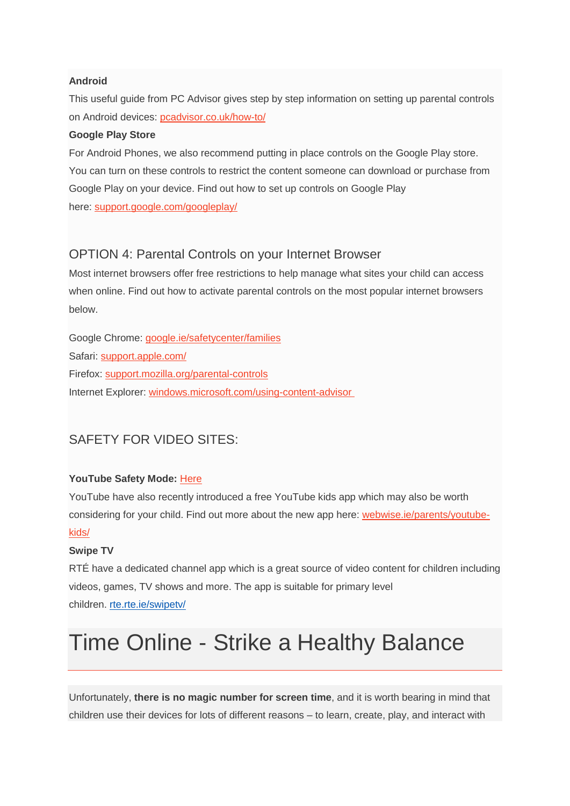#### **Android**

This useful guide from PC Advisor gives step by step information on setting up parental controls on Android devices: [pcadvisor.co.uk/how-to/](http://www.pcadvisor.co.uk/how-to/google-android/parental-control-on-android-image-3461359/)

#### **Google Play Store**

For Android Phones, we also recommend putting in place controls on the Google Play store. You can turn on these controls to restrict the content someone can download or purchase from Google Play on your device. Find out how to set up controls on Google Play here: [support.google.com/googleplay/](https://support.google.com/googleplay/answer/1075738?hl=en)

#### OPTION 4: Parental Controls on your Internet Browser

Most internet browsers offer free restrictions to help manage what sites your child can access when online. Find out how to activate parental controls on the most popular internet browsers below.

Google Chrome: [google.ie/safetycenter/families](https://www.google.ie/safetycenter/families/start/#control-what-your-family-sees-on-the-web) Safari: [support.apple.com/](https://support.apple.com/en-ie/HT201813) Firefox: [support.mozilla.org/parental-controls](https://support.mozilla.org/en-US/kb/block-and-unblock-websites-parental-controls-firef) Internet Explorer: [windows.microsoft.com/using-content-advisor](https://account.microsoft.com/family/about)

## SAFETY FOR VIDEO SITES:

#### **YouTube Safety Mode:** [Here](https://support.google.com/youtube/answer/174084?co=GENIE.Platform%3DDesktop&hl=en)

YouTube have also recently introduced a free YouTube kids app which may also be worth considering for your child. Find out more about the new app here: [webwise.ie/parents/youtube](https://www.webwise.ie/parents/youtube-kids/)[kids/](https://www.webwise.ie/parents/youtube-kids/)

#### **Swipe TV**

RTÉ have a dedicated channel app which is a great source of video content for children including videos, games, TV shows and more. The app is suitable for primary level children. [rte.rte.ie/swipetv/](http://trte.rte.ie/swipetv/)

# Time Online - Strike a Healthy Balance

Unfortunately, **there is no magic number for screen time**, and it is worth bearing in mind that children use their devices for lots of different reasons – to learn, create, play, and interact with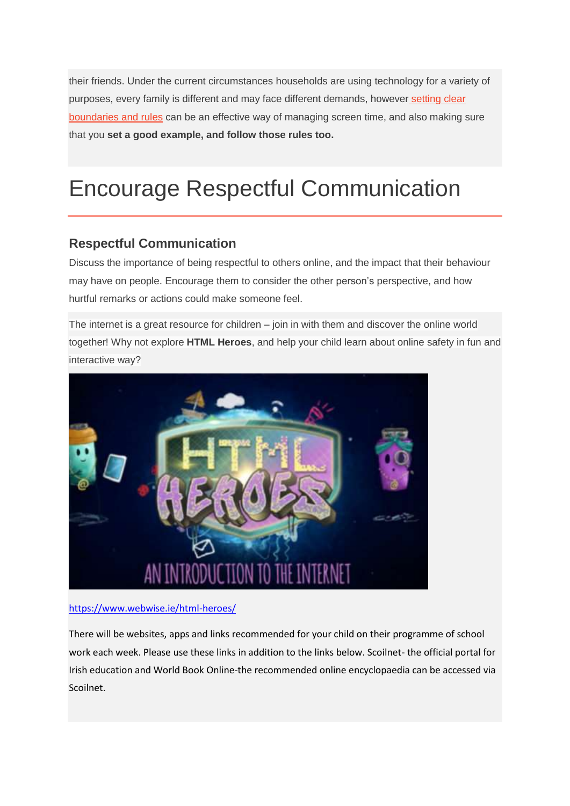their friends. Under the current circumstances households are using technology for a variety of purposes, every family is different and may face different demands, however [setting](https://www.webwise.ie/parents/screen-time-advice-for-parents/) clear [boundaries](https://www.webwise.ie/parents/screen-time-advice-for-parents/) and rules can be an effective way of managing screen time, and also making sure that you **set a good example, and follow those rules too.**

# Encourage Respectful Communication

## **Respectful Communication**

Discuss the importance of being respectful to others online, and the impact that their behaviour may have on people. Encourage them to consider the other person's perspective, and how hurtful remarks or actions could make someone feel.

The internet is a great resource for children – join in with them and discover the online world together! Why not explore **HTML Heroes**, and help your child learn about online safety in fun and interactive way?



#### <https://www.webwise.ie/html-heroes/>

There will be websites, apps and links recommended for your child on their programme of school work each week. Please use these links in addition to the links below. Scoilnet- the official portal for Irish education and World Book Online-the recommended online encyclopaedia can be accessed via Scoilnet.